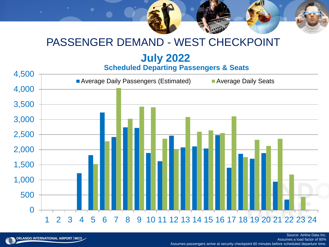## PASSENGER DEMAND - WEST CHECKPOINT

# **July 2022**

#### **Scheduled Departing Passengers & Seats**



Assumes a load factor of 80% Assumes passengers arrive at security checkpoint 60 minutes before scheduled departure time.

Source: Airline Data Inc.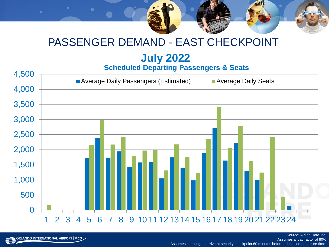## PASSENGER DEMAND - EAST CHECKPOINT

# **July 2022**

**Scheduled Departing Passengers & Seats**



ORLANDO INTERNATIONAL AIRPORT MCO

Assumes a load factor of 80% Assumes passengers arrive at security checkpoint 60 minutes before scheduled departure time.

Source: Airline Data Inc.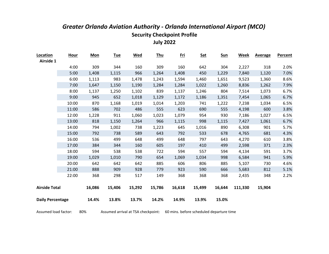| Location                | <b>Hour</b> | <b>Mon</b> | <b>Tue</b> | <b>Wed</b> | <b>Thu</b> | <u>Fri</u> | <b>Sat</b> | Sun    | <b>Week</b> | <b>Average</b> | Percent |
|-------------------------|-------------|------------|------------|------------|------------|------------|------------|--------|-------------|----------------|---------|
| Airside 1               |             |            |            |            |            |            |            |        |             |                |         |
|                         | 4:00        | 309        | 344        | 160        | 309        | 160        | 642        | 304    | 2,227       | 318            | 2.0%    |
|                         | 5:00        | 1,408      | 1,115      | 966        | 1,264      | 1,408      | 450        | 1,229  | 7,840       | 1,120          | 7.0%    |
|                         | 6:00        | 1,113      | 983        | 1,478      | 1,243      | 1,594      | 1,460      | 1,651  | 9,523       | 1,360          | 8.6%    |
|                         | 7:00        | 1,647      | 1,150      | 1,190      | 1,284      | 1,284      | 1,022      | 1,260  | 8,836       | 1,262          | 7.9%    |
|                         | 8:00        | 1,137      | 1,250      | 1,102      | 839        | 1,137      | 1,246      | 804    | 7,514       | 1,073          | 6.7%    |
|                         | 9:00        | 945        | 652        | 1,018      | 1,129      | 1,172      | 1,186      | 1,351  | 7,454       | 1,065          | 6.7%    |
|                         | 10:00       | 870        | 1,168      | 1,019      | 1,014      | 1,203      | 741        | 1,222  | 7,238       | 1,034          | 6.5%    |
|                         | 11:00       | 586        | 702        | 486        | 555        | 623        | 690        | 555    | 4,198       | 600            | 3.8%    |
|                         | 12:00       | 1,228      | 911        | 1,060      | 1,023      | 1,079      | 954        | 930    | 7,186       | 1,027          | 6.5%    |
|                         | 13:00       | 818        | 1,150      | 1,264      | 966        | 1,115      | 998        | 1,115  | 7,427       | 1,061          | 6.7%    |
|                         | 14:00       | 794        | 1,002      | 738        | 1,223      | 645        | 1,016      | 890    | 6,308       | 901            | 5.7%    |
|                         | 15:00       | 792        | 738        | 589        | 643        | 792        | 533        | 678    | 4,765       | 681            | 4.3%    |
|                         | 16:00       | 536        | 499        | 648        | 499        | 648        | 797        | 643    | 4,270       | 610            | 3.8%    |
|                         | 17:00       | 384        | 344        | 160        | 605        | 197        | 410        | 499    | 2,598       | 371            | 2.3%    |
|                         | 18:00       | 594        | 538        | 538        | 722        | 594        | 557        | 594    | 4,134       | 591            | 3.7%    |
|                         | 19:00       | 1,029      | 1,010      | 790        | 654        | 1,069      | 1,034      | 998    | 6,584       | 941            | 5.9%    |
|                         | 20:00       | 642        | 642        | 642        | 885        | 606        | 806        | 885    | 5,107       | 730            | 4.6%    |
|                         | 21:00       | 888        | 909        | 928        | 779        | 923        | 590        | 666    | 5,683       | 812            | 5.1%    |
|                         | 22:00       | 368        | 298        | 517        | 149        | 368        | 368        | 368    | 2,435       | 348            | 2.2%    |
|                         |             |            |            |            |            |            |            |        |             |                |         |
| <b>Airside Total</b>    |             | 16,086     | 15,406     | 15,292     | 15,786     | 16,618     | 15,499     | 16,644 | 111,330     | 15,904         |         |
|                         |             |            |            |            |            |            |            |        |             |                |         |
| <b>Daily Percentage</b> |             | 14.4%      | 13.8%      | 13.7%      | 14.2%      | 14.9%      | 13.9%      | 15.0%  |             |                |         |
|                         |             |            |            |            |            |            |            |        |             |                |         |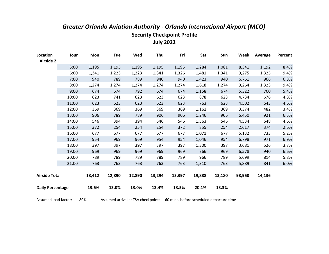| Location                | <b>Hour</b> | <b>Mon</b> | <u>Tue</u> | <b>Wed</b> | <u>Thu</u> | <u>Fri</u> | <b>Sat</b> | <b>Sun</b> | <b>Week</b> | <b>Average</b> | Percent |
|-------------------------|-------------|------------|------------|------------|------------|------------|------------|------------|-------------|----------------|---------|
| <b>Airside 2</b>        |             |            |            |            |            |            |            |            |             |                |         |
|                         | 5:00        | 1,195      | 1,195      | 1,195      | 1,195      | 1,195      | 1,284      | 1,081      | 8,341       | 1,192          | 8.4%    |
|                         | 6:00        | 1,341      | 1,223      | 1,223      | 1,341      | 1,326      | 1,481      | 1,341      | 9,275       | 1,325          | 9.4%    |
|                         | 7:00        | 940        | 789        | 789        | 940        | 940        | 1,423      | 940        | 6,761       | 966            | 6.8%    |
|                         | 8:00        | 1,274      | 1,274      | 1,274      | 1,274      | 1,274      | 1,618      | 1,274      | 9,264       | 1,323          | 9.4%    |
|                         | 9:00        | 674        | 674        | 792        | 674        | 674        | 1,158      | 674        | 5,322       | 760            | 5.4%    |
|                         | 10:00       | 623        | 741        | 623        | 623        | 623        | 878        | 623        | 4,734       | 676            | 4.8%    |
|                         | 11:00       | 623        | 623        | 623        | 623        | 623        | 763        | 623        | 4,502       | 643            | 4.6%    |
|                         | 12:00       | 369        | 369        | 369        | 369        | 369        | 1,161      | 369        | 3,374       | 482            | 3.4%    |
|                         | 13:00       | 906        | 789        | 789        | 906        | 906        | 1,246      | 906        | 6,450       | 921            | 6.5%    |
|                         | 14:00       | 546        | 394        | 394        | 546        | 546        | 1,563      | 546        | 4,534       | 648            | 4.6%    |
|                         | 15:00       | 372        | 254        | 254        | 254        | 372        | 855        | 254        | 2,617       | 374            | 2.6%    |
|                         | 16:00       | 677        | 677        | 677        | 677        | 677        | 1,071      | 677        | 5,132       | 733            | 5.2%    |
|                         | 17:00       | 954        | 969        | 969        | 954        | 954        | 1,046      | 954        | 6,798       | 971            | 6.9%    |
|                         | 18:00       | 397        | 397        | 397        | 397        | 397        | 1,300      | 397        | 3,681       | 526            | 3.7%    |
|                         | 19:00       | 969        | 969        | 969        | 969        | 969        | 766        | 969        | 6,578       | 940            | 6.6%    |
|                         | 20:00       | 789        | 789        | 789        | 789        | 789        | 966        | 789        | 5,699       | 814            | 5.8%    |
|                         | 21:00       | 763        | 763        | 763        | 763        | 763        | 1,310      | 763        | 5,889       | 841            | 6.0%    |
|                         |             |            |            |            |            |            |            |            |             |                |         |
| <b>Airside Total</b>    |             | 13,412     | 12,890     | 12,890     | 13,294     | 13,397     | 19,888     | 13,180     | 98,950      | 14,136         |         |
|                         |             |            |            |            |            |            |            |            |             |                |         |
| <b>Daily Percentage</b> |             | 13.6%      | 13.0%      | 13.0%      | 13.4%      | 13.5%      | 20.1%      | 13.3%      |             |                |         |
|                         |             |            |            |            |            |            |            |            |             |                |         |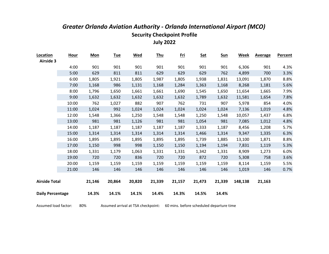| Location                | <b>Hour</b> | <b>Mon</b> | <b>Tue</b> | <b>Wed</b> | <b>Thu</b> | <u>Fri</u> | <b>Sat</b> | <b>Sun</b> | <b>Week</b> | <b>Average</b> | Percent |
|-------------------------|-------------|------------|------------|------------|------------|------------|------------|------------|-------------|----------------|---------|
| <b>Airside 3</b>        |             |            |            |            |            |            |            |            |             |                |         |
|                         | 4:00        | 901        | 901        | 901        | 901        | 901        | 901        | 901        | 6,306       | 901            | 4.3%    |
|                         | 5:00        | 629        | 811        | 811        | 629        | 629        | 629        | 762        | 4,899       | 700            | 3.3%    |
|                         | 6:00        | 1,805      | 1,921      | 1,805      | 1,987      | 1,805      | 1,938      | 1,831      | 13,091      | 1,870          | 8.8%    |
|                         | 7:00        | 1,168      | 986        | 1,131      | 1,168      | 1,284      | 1,363      | 1,168      | 8,268       | 1,181          | 5.6%    |
|                         | 8:00        | 1,796      | 1,650      | 1,661      | 1,661      | 1,690      | 1,545      | 1,650      | 11,654      | 1,665          | 7.9%    |
|                         | 9:00        | 1,632      | 1,632      | 1,632      | 1,632      | 1,632      | 1,789      | 1,632      | 11,581      | 1,654          | 7.8%    |
|                         | 10:00       | 762        | 1,027      | 882        | 907        | 762        | 731        | 907        | 5,978       | 854            | 4.0%    |
|                         | 11:00       | 1,024      | 992        | 1,024      | 1,024      | 1,024      | 1,024      | 1,024      | 7,136       | 1,019          | 4.8%    |
|                         | 12:00       | 1,548      | 1,366      | 1,250      | 1,548      | 1,548      | 1,250      | 1,548      | 10,057      | 1,437          | 6.8%    |
|                         | 13:00       | 981        | 981        | 1,126      | 981        | 981        | 1,054      | 981        | 7,085       | 1,012          | 4.8%    |
|                         | 14:00       | 1,187      | 1,187      | 1,187      | 1,187      | 1,187      | 1,333      | 1,187      | 8,456       | 1,208          | 5.7%    |
|                         | 15:00       | 1,314      | 1,314      | 1,314      | 1,314      | 1,314      | 1,466      | 1,314      | 9,347       | 1,335          | 6.3%    |
|                         | 16:00       | 1,895      | 1,895      | 1,895      | 1,895      | 1,895      | 1,739      | 1,885      | 13,100      | 1,871          | 8.8%    |
|                         | 17:00       | 1,150      | 998        | 998        | 1,150      | 1,150      | 1,194      | 1,194      | 7,831       | 1,119          | 5.3%    |
|                         | 18:00       | 1,331      | 1,179      | 1,063      | 1,331      | 1,331      | 1,342      | 1,331      | 8,909       | 1,273          | 6.0%    |
|                         | 19:00       | 720        | 720        | 836        | 720        | 720        | 872        | 720        | 5,308       | 758            | 3.6%    |
|                         | 20:00       | 1,159      | 1,159      | 1,159      | 1,159      | 1,159      | 1,159      | 1,159      | 8,114       | 1,159          | 5.5%    |
|                         | 21:00       | 146        | 146        | 146        | 146        | 146        | 146        | 146        | 1,019       | 146            | 0.7%    |
|                         |             |            |            |            |            |            |            |            |             |                |         |
| <b>Airside Total</b>    |             | 21,146     | 20,864     | 20,820     | 21,339     | 21,157     | 21,473     | 21,339     | 148,138     | 21,163         |         |
| <b>Daily Percentage</b> |             | 14.3%      | 14.1%      | 14.1%      | 14.4%      | 14.3%      | 14.5%      | 14.4%      |             |                |         |
|                         |             |            |            |            |            |            |            |            |             |                |         |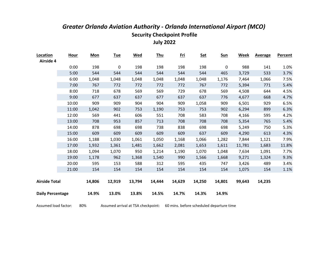| Location                | <b>Hour</b> | <b>Mon</b> | <b>Tue</b> | <u>Wed</u> | <b>Thu</b> | <u>Fri</u> | <b>Sat</b> | <u>Sun</u>  | <b>Week</b> | <b>Average</b> | <b>Percent</b> |
|-------------------------|-------------|------------|------------|------------|------------|------------|------------|-------------|-------------|----------------|----------------|
| <b>Airside 4</b>        |             |            |            |            |            |            |            |             |             |                |                |
|                         | 0:00        | 198        | 0          | 198        | 198        | 198        | 198        | $\mathbf 0$ | 988         | 141            | 1.0%           |
|                         | 5:00        | 544        | 544        | 544        | 544        | 544        | 544        | 465         | 3,729       | 533            | 3.7%           |
|                         | 6:00        | 1,048      | 1,048      | 1,048      | 1,048      | 1,048      | 1,048      | 1,176       | 7,464       | 1,066          | 7.5%           |
|                         | 7:00        | 767        | 772        | 772        | 772        | 772        | 767        | 772         | 5,394       | 771            | 5.4%           |
|                         | 8:00        | 718        | 678        | 569        | 569        | 729        | 678        | 569         | 4,508       | 644            | 4.5%           |
|                         | 9:00        | 677        | 637        | 637        | 677        | 637        | 637        | 776         | 4,677       | 668            | 4.7%           |
|                         | 10:00       | 909        | 909        | 904        | 904        | 909        | 1,058      | 909         | 6,501       | 929            | 6.5%           |
|                         | 11:00       | 1,042      | 902        | 753        | 1,190      | 753        | 753        | 902         | 6,294       | 899            | 6.3%           |
|                         | 12:00       | 569        | 441        | 606        | 551        | 708        | 583        | 708         | 4,166       | 595            | 4.2%           |
|                         | 13:00       | 708        | 953        | 857        | 713        | 708        | 708        | 708         | 5,354       | 765            | 5.4%           |
|                         | 14:00       | 878        | 698        | 698        | 738        | 838        | 698        | 698         | 5,249       | 750            | 5.3%           |
|                         | 15:00       | 609        | 609        | 609        | 609        | 609        | 637        | 609         | 4,290       | 613            | 4.3%           |
|                         | 16:00       | 1,188      | 1,030      | 1,061      | 1,050      | 1,168      | 1,066      | 1,282       | 7,844       | 1,121          | 7.9%           |
|                         | 17:00       | 1,932      | 1,361      | 1,481      | 1,662      | 2,081      | 1,653      | 1,611       | 11,781      | 1,683          | 11.8%          |
|                         | 18:00       | 1,094      | 1,070      | 950        | 1,214      | 1,190      | 1,070      | 1,048       | 7,634       | 1,091          | 7.7%           |
|                         | 19:00       | 1,178      | 962        | 1,368      | 1,540      | 990        | 1,566      | 1,668       | 9,271       | 1,324          | 9.3%           |
|                         | 20:00       | 595        | 153        | 588        | 312        | 595        | 435        | 747         | 3,426       | 489            | 3.4%           |
|                         | 21:00       | 154        | 154        | 154        | 154        | 154        | 154        | 154         | 1,075       | 154            | 1.1%           |
|                         |             |            |            |            |            |            |            |             |             |                |                |
| <b>Airside Total</b>    |             | 14,806     | 12,919     | 13,794     | 14,444     | 14,629     | 14,250     | 14,801      | 99,643      | 14,235         |                |
|                         |             |            |            |            |            |            |            |             |             |                |                |
| <b>Daily Percentage</b> |             | 14.9%      | 13.0%      | 13.8%      | 14.5%      | 14.7%      | 14.3%      | 14.9%       |             |                |                |
|                         |             |            |            |            |            |            |            |             |             |                |                |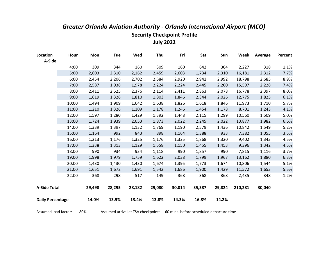| Location                | <b>Hour</b> | <b>Mon</b> | <b>Tue</b> | <b>Wed</b> | <b>Thu</b> | <u>Fri</u> | <b>Sat</b> | <b>Sun</b> | Week    | <b>Average</b> | <b>Percent</b> |
|-------------------------|-------------|------------|------------|------------|------------|------------|------------|------------|---------|----------------|----------------|
| A-Side                  |             |            |            |            |            |            |            |            |         |                |                |
|                         | 4:00        | 309        | 344        | 160        | 309        | 160        | 642        | 304        | 2,227   | 318            | 1.1%           |
|                         | 5:00        | 2,603      | 2,310      | 2,162      | 2,459      | 2,603      | 1,734      | 2,310      | 16,181  | 2,312          | 7.7%           |
|                         | 6:00        | 2,454      | 2,206      | 2,702      | 2,584      | 2,920      | 2,941      | 2,992      | 18,798  | 2,685          | 8.9%           |
|                         | 7:00        | 2,587      | 1,938      | 1,978      | 2,224      | 2,224      | 2,445      | 2,200      | 15,597  | 2,228          | 7.4%           |
|                         | 8:00        | 2,411      | 2,525      | 2,376      | 2,114      | 2,411      | 2,863      | 2,078      | 16,778  | 2,397          | 8.0%           |
|                         | 9:00        | 1,619      | 1,326      | 1,810      | 1,803      | 1,846      | 2,344      | 2,026      | 12,775  | 1,825          | 6.1%           |
|                         | 10:00       | 1,494      | 1,909      | 1,642      | 1,638      | 1,826      | 1,618      | 1,846      | 11,973  | 1,710          | 5.7%           |
|                         | 11:00       | 1,210      | 1,326      | 1,109      | 1,178      | 1,246      | 1,454      | 1,178      | 8,701   | 1,243          | 4.1%           |
|                         | 12:00       | 1,597      | 1,280      | 1,429      | 1,392      | 1,448      | 2,115      | 1,299      | 10,560  | 1,509          | 5.0%           |
|                         | 13:00       | 1,724      | 1,939      | 2,053      | 1,873      | 2,022      | 2,245      | 2,022      | 13,877  | 1,982          | 6.6%           |
|                         | 14:00       | 1,339      | 1,397      | 1,132      | 1,769      | 1,190      | 2,579      | 1,436      | 10,842  | 1,549          | 5.2%           |
|                         | 15:00       | 1,164      | 992        | 843        | 898        | 1,164      | 1,388      | 933        | 7,382   | 1,055          | 3.5%           |
|                         | 16:00       | 1,213      | 1,176      | 1,325      | 1,176      | 1,325      | 1,868      | 1,320      | 9,402   | 1,343          | 4.5%           |
|                         | 17:00       | 1,338      | 1,313      | 1,129      | 1,558      | 1,150      | 1,455      | 1,453      | 9,396   | 1,342          | 4.5%           |
|                         | 18:00       | 990        | 934        | 934        | 1,118      | 990        | 1,857      | 990        | 7,815   | 1,116          | 3.7%           |
|                         | 19:00       | 1,998      | 1,979      | 1,759      | 1,622      | 2,038      | 1,799      | 1,967      | 13,162  | 1,880          | 6.3%           |
|                         | 20:00       | 1,430      | 1,430      | 1,430      | 1,674      | 1,395      | 1,773      | 1,674      | 10,806  | 1,544          | 5.1%           |
|                         | 21:00       | 1,651      | 1,672      | 1,691      | 1,542      | 1,686      | 1,900      | 1,429      | 11,572  | 1,653          | 5.5%           |
|                         | 22:00       | 368        | 298        | 517        | 149        | 368        | 368        | 368        | 2,435   | 348            | 1.2%           |
|                         |             |            |            |            |            |            |            |            |         |                |                |
| <b>A-Side Total</b>     |             | 29,498     | 28,295     | 28,182     | 29,080     | 30,014     | 35,387     | 29,824     | 210,281 | 30,040         |                |
|                         |             |            |            |            |            |            |            |            |         |                |                |
| <b>Daily Percentage</b> |             | 14.0%      | 13.5%      | 13.4%      | 13.8%      | 14.3%      | 16.8%      | 14.2%      |         |                |                |
|                         |             |            |            |            |            |            |            |            |         |                |                |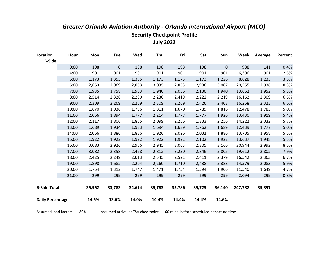| Location<br><b>B-Side</b> | <b>Hour</b> | <b>Mon</b> | <u>Tue</u> | <b>Wed</b> | <b>Thu</b> | <u>Fri</u> | <b>Sat</b> | <u>Sun</u>  | <b>Week</b> | <b>Average</b> | Percent |
|---------------------------|-------------|------------|------------|------------|------------|------------|------------|-------------|-------------|----------------|---------|
|                           | 0:00        | 198        | 0          | 198        | 198        | 198        | 198        | $\mathbf 0$ | 988         | 141            | 0.4%    |
|                           | 4:00        | 901        | 901        | 901        | 901        | 901        | 901        | 901         | 6,306       | 901            | 2.5%    |
|                           | 5:00        | 1,173      | 1,355      | 1,355      | 1,173      | 1,173      | 1,173      | 1,226       | 8,628       | 1,233          | 3.5%    |
|                           | 6:00        | 2,853      | 2,969      | 2,853      | 3,035      | 2,853      | 2,986      | 3,007       | 20,555      | 2,936          | 8.3%    |
|                           | 7:00        | 1,935      | 1,758      | 1,903      | 1,940      | 2,056      | 2,130      | 1,940       | 13,662      | 1,952          | 5.5%    |
|                           | 8:00        | 2,514      | 2,328      | 2,230      | 2,230      | 2,419      | 2,222      | 2,219       | 16,162      | 2,309          | 6.5%    |
|                           | 9:00        | 2,309      | 2,269      | 2,269      | 2,309      | 2,269      | 2,426      | 2,408       | 16,258      | 2,323          | 6.6%    |
|                           | 10:00       | 1,670      | 1,936      | 1,786      | 1,811      | 1,670      | 1,789      | 1,816       | 12,478      | 1,783          | 5.0%    |
|                           | 11:00       | 2,066      | 1,894      | 1,777      | 2,214      | 1,777      | 1,777      | 1,926       | 13,430      | 1,919          | 5.4%    |
|                           | 12:00       | 2,117      | 1,806      | 1,855      | 2,099      | 2,256      | 1,833      | 2,256       | 14,222      | 2,032          | 5.7%    |
|                           | 13:00       | 1,689      | 1,934      | 1,983      | 1,694      | 1,689      | 1,762      | 1,689       | 12,439      | 1,777          | 5.0%    |
|                           | 14:00       | 2,066      | 1,886      | 1,886      | 1,926      | 2,026      | 2,031      | 1,886       | 13,705      | 1,958          | 5.5%    |
|                           | 15:00       | 1,922      | 1,922      | 1,922      | 1,922      | 1,922      | 2,102      | 1,922       | 13,637      | 1,948          | 5.5%    |
|                           | 16:00       | 3,083      | 2,926      | 2,956      | 2,945      | 3,063      | 2,805      | 3,166       | 20,944      | 2,992          | 8.5%    |
|                           | 17:00       | 3,082      | 2,358      | 2,478      | 2,812      | 3,230      | 2,846      | 2,805       | 19,612      | 2,802          | 7.9%    |
|                           | 18:00       | 2,425      | 2,249      | 2,013      | 2,545      | 2,521      | 2,411      | 2,379       | 16,542      | 2,363          | 6.7%    |
|                           | 19:00       | 1,898      | 1,682      | 2,204      | 2,260      | 1,710      | 2,438      | 2,388       | 14,579      | 2,083          | 5.9%    |
|                           | 20:00       | 1,754      | 1,312      | 1,747      | 1,471      | 1,754      | 1,594      | 1,906       | 11,540      | 1,649          | 4.7%    |
|                           | 21:00       | 299        | 299        | 299        | 299        | 299        | 299        | 299         | 2,094       | 299            | 0.8%    |
|                           |             |            |            |            |            |            |            |             |             |                |         |
| <b>B-Side Total</b>       |             | 35,952     | 33,783     | 34,614     | 35,783     | 35,786     | 35,723     | 36,140      | 247,782     | 35,397         |         |
| <b>Daily Percentage</b>   |             | 14.5%      | 13.6%      | 14.0%      | 14.4%      | 14.4%      | 14.4%      | 14.6%       |             |                |         |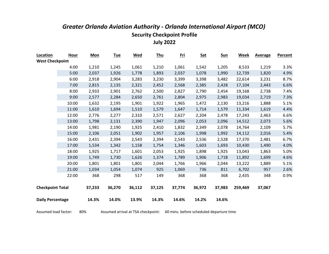| Location                | Hour  | Mon    | <b>Tue</b> | <b>Wed</b> | <b>Thu</b> | <u>Fri</u> | <b>Sat</b> | Sun    | Week    | <b>Average</b> | <b>Percent</b> |
|-------------------------|-------|--------|------------|------------|------------|------------|------------|--------|---------|----------------|----------------|
| <b>West Checkpoint</b>  |       |        |            |            |            |            |            |        |         |                |                |
|                         | 4:00  | 1,210  | 1,245      | 1,061      | 1,210      | 1,061      | 1,542      | 1,205  | 8,533   | 1,219          | 3.3%           |
|                         | 5:00  | 2,037  | 1,926      | 1,778      | 1,893      | 2,037      | 1,078      | 1,990  | 12,739  | 1,820          | 4.9%           |
|                         | 6:00  | 2,918  | 2,904      | 3,283      | 3,230      | 3,399      | 3,398      | 3,482  | 22,614  | 3,231          | 8.7%           |
|                         | 7:00  | 2,815  | 2,135      | 2,321      | 2,452      | 2,568      | 2,385      | 2,428  | 17,104  | 2,443          | 6.6%           |
|                         | 8:00  | 2,933  | 2,901      | 2,762      | 2,500      | 2,827      | 2,790      | 2,454  | 19,168  | 2,738          | 7.4%           |
|                         | 9:00  | 2,577  | 2,284      | 2,650      | 2,761      | 2,804      | 2,975      | 2,983  | 19,034  | 2,719          | 7.3%           |
|                         | 10:00 | 1,632  | 2,195      | 1,901      | 1,922      | 1,965      | 1,472      | 2,130  | 13,216  | 1,888          | 5.1%           |
|                         | 11:00 | 1,610  | 1,694      | 1,510      | 1,579      | 1,647      | 1,714      | 1,579  | 11,334  | 1,619          | 4.4%           |
|                         | 12:00 | 2,776  | 2,277      | 2,310      | 2,571      | 2,627      | 2,204      | 2,478  | 17,243  | 2,463          | 6.6%           |
|                         | 13:00 | 1,798  | 2,131      | 2,390      | 1,947      | 2,096      | 2,053      | 2,096  | 14,512  | 2,073          | 5.6%           |
|                         | 14:00 | 1,981  | 2,190      | 1,925      | 2,410      | 1,832      | 2,349      | 2,078  | 14,764  | 2,109          | 5.7%           |
|                         | 15:00 | 2,106  | 2,051      | 1,902      | 1,957      | 2,106      | 1,998      | 1,992  | 14,112  | 2,016          | 5.4%           |
|                         | 16:00 | 2,431  | 2,394      | 2,543      | 2,394      | 2,543      | 2,536      | 2,528  | 17,370  | 2,481          | 6.7%           |
|                         | 17:00 | 1,534  | 1,342      | 1,158      | 1,754      | 1,346      | 1,603      | 1,693  | 10,430  | 1,490          | 4.0%           |
|                         | 18:00 | 1,925  | 1,717      | 1,601      | 2,053      | 1,925      | 1,898      | 1,925  | 13,043  | 1,863          | 5.0%           |
|                         | 19:00 | 1,749  | 1,730      | 1,626      | 1,374      | 1,789      | 1,906      | 1,718  | 11,892  | 1,699          | 4.6%           |
|                         | 20:00 | 1,801  | 1,801      | 1,801      | 2,044      | 1,766      | 1,966      | 2,044  | 13,222  | 1,889          | 5.1%           |
|                         | 21:00 | 1,034  | 1,054      | 1,074      | 925        | 1,069      | 736        | 811    | 6,702   | 957            | 2.6%           |
|                         | 22:00 | 368    | 298        | 517        | 149        | 368        | 368        | 368    | 2,435   | 348            | 0.9%           |
|                         |       |        |            |            |            |            |            |        |         |                |                |
| <b>Checkpoint Total</b> |       | 37,233 | 36,270     | 36,112     | 37,125     | 37,774     | 36,972     | 37,983 | 259,469 | 37,067         |                |
|                         |       |        |            |            |            |            |            |        |         |                |                |
| <b>Daily Percentage</b> |       | 14.3%  | 14.0%      | 13.9%      | 14.3%      | 14.6%      | 14.2%      | 14.6%  |         |                |                |
|                         |       |        |            |            |            |            |            |        |         |                |                |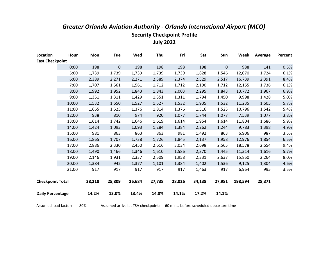| Location                | <b>Hour</b> | <b>Mon</b> | <b>Tue</b>       | <b>Wed</b> | <b>Thu</b> | <u>Fri</u> | <b>Sat</b> | <b>Sun</b>  | <b>Week</b> | <b>Average</b> | <b>Percent</b> |
|-------------------------|-------------|------------|------------------|------------|------------|------------|------------|-------------|-------------|----------------|----------------|
| <b>East Checkpoint</b>  |             |            |                  |            |            |            |            |             |             |                |                |
|                         | 0:00        | 198        | $\boldsymbol{0}$ | 198        | 198        | 198        | 198        | $\mathbf 0$ | 988         | 141            | 0.5%           |
|                         | 5:00        | 1,739      | 1,739            | 1,739      | 1,739      | 1,739      | 1,828      | 1,546       | 12,070      | 1,724          | 6.1%           |
|                         | 6:00        | 2,389      | 2,271            | 2,271      | 2,389      | 2,374      | 2,529      | 2,517       | 16,739      | 2,391          | 8.4%           |
|                         | 7:00        | 1,707      | 1,561            | 1,561      | 1,712      | 1,712      | 2,190      | 1,712       | 12,155      | 1,736          | 6.1%           |
|                         | 8:00        | 1,992      | 1,952            | 1,843      | 1,843      | 2,003      | 2,295      | 1,843       | 13,772      | 1,967          | 6.9%           |
|                         | 9:00        | 1,351      | 1,311            | 1,429      | 1,351      | 1,311      | 1,794      | 1,450       | 9,998       | 1,428          | 5.0%           |
|                         | 10:00       | 1,532      | 1,650            | 1,527      | 1,527      | 1,532      | 1,935      | 1,532       | 11,235      | 1,605          | 5.7%           |
|                         | 11:00       | 1,665      | 1,525            | 1,376      | 1,814      | 1,376      | 1,516      | 1,525       | 10,796      | 1,542          | 5.4%           |
|                         | 12:00       | 938        | 810              | 974        | 920        | 1,077      | 1,744      | 1,077       | 7,539       | 1,077          | 3.8%           |
|                         | 13:00       | 1,614      | 1,742            | 1,646      | 1,619      | 1,614      | 1,954      | 1,614       | 11,804      | 1,686          | 5.9%           |
|                         | 14:00       | 1,424      | 1,093            | 1,093      | 1,284      | 1,384      | 2,262      | 1,244       | 9,783       | 1,398          | 4.9%           |
|                         | 15:00       | 981        | 863              | 863        | 863        | 981        | 1,492      | 863         | 6,906       | 987            | 3.5%           |
|                         | 16:00       | 1,865      | 1,707            | 1,738      | 1,726      | 1,845      | 2,137      | 1,958       | 12,976      | 1,854          | 6.5%           |
|                         | 17:00       | 2,886      | 2,330            | 2,450      | 2,616      | 3,034      | 2,698      | 2,565       | 18,578      | 2,654          | 9.4%           |
|                         | 18:00       | 1,490      | 1,466            | 1,346      | 1,610      | 1,586      | 2,370      | 1,445       | 11,314      | 1,616          | 5.7%           |
|                         | 19:00       | 2,146      | 1,931            | 2,337      | 2,509      | 1,958      | 2,331      | 2,637       | 15,850      | 2,264          | 8.0%           |
|                         | 20:00       | 1,384      | 942              | 1,377      | 1,101      | 1,384      | 1,402      | 1,536       | 9,125       | 1,304          | 4.6%           |
|                         | 21:00       | 917        | 917              | 917        | 917        | 917        | 1,463      | 917         | 6,964       | 995            | 3.5%           |
| <b>Checkpoint Total</b> |             | 28,218     | 25,809           | 26,684     | 27,738     | 28,026     | 34,138     | 27,981      | 198,594     | 28,371         |                |
| <b>Daily Percentage</b> |             | 14.2%      | 13.0%            | 13.4%      | 14.0%      | 14.1%      | 17.2%      | 14.1%       |             |                |                |